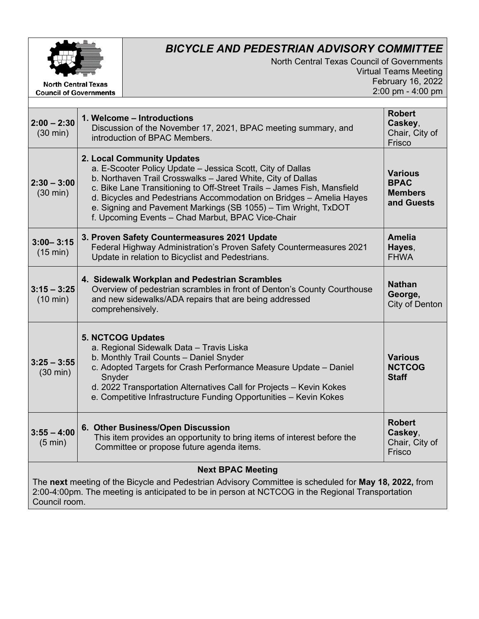

**Council of Governments** 

## *BICYCLE AND PEDESTRIAN ADVISORY COMMITTEE*

North Central Texas Council of Governments Virtual Teams Meeting February 16, 2022 2:00 pm - 4:00 pm

| $2:00 - 2:30$<br>$(30 \text{ min})$                                                                                                                                                                                        | 1. Welcome - Introductions<br>Discussion of the November 17, 2021, BPAC meeting summary, and<br>introduction of BPAC Members.                                                                                                                                                                                                                                                                                                    | <b>Robert</b><br>Caskey,<br>Chair, City of<br>Frisco          |
|----------------------------------------------------------------------------------------------------------------------------------------------------------------------------------------------------------------------------|----------------------------------------------------------------------------------------------------------------------------------------------------------------------------------------------------------------------------------------------------------------------------------------------------------------------------------------------------------------------------------------------------------------------------------|---------------------------------------------------------------|
| $2:30 - 3:00$<br>$(30 \text{ min})$                                                                                                                                                                                        | 2. Local Community Updates<br>a. E-Scooter Policy Update - Jessica Scott, City of Dallas<br>b. Northaven Trail Crosswalks - Jared White, City of Dallas<br>c. Bike Lane Transitioning to Off-Street Trails - James Fish, Mansfield<br>d. Bicycles and Pedestrians Accommodation on Bridges - Amelia Hayes<br>e. Signing and Pavement Markings (SB 1055) - Tim Wright, TxDOT<br>f. Upcoming Events - Chad Marbut, BPAC Vice-Chair | <b>Various</b><br><b>BPAC</b><br><b>Members</b><br>and Guests |
| $3:00 - 3:15$<br>(15 min)                                                                                                                                                                                                  | 3. Proven Safety Countermeasures 2021 Update<br>Federal Highway Administration's Proven Safety Countermeasures 2021<br>Update in relation to Bicyclist and Pedestrians.                                                                                                                                                                                                                                                          | <b>Amelia</b><br>Hayes,<br><b>FHWA</b>                        |
| $3:15 - 3:25$<br>$(10 \text{ min})$                                                                                                                                                                                        | 4. Sidewalk Workplan and Pedestrian Scrambles<br>Overview of pedestrian scrambles in front of Denton's County Courthouse<br>and new sidewalks/ADA repairs that are being addressed<br>comprehensively.                                                                                                                                                                                                                           | <b>Nathan</b><br>George,<br>City of Denton                    |
| $3:25 - 3:55$<br>$(30 \text{ min})$                                                                                                                                                                                        | <b>5. NCTCOG Updates</b><br>a. Regional Sidewalk Data - Travis Liska<br>b. Monthly Trail Counts - Daniel Snyder<br>c. Adopted Targets for Crash Performance Measure Update - Daniel<br>Snyder<br>d. 2022 Transportation Alternatives Call for Projects - Kevin Kokes<br>e. Competitive Infrastructure Funding Opportunities - Kevin Kokes                                                                                        | <b>Various</b><br><b>NCTCOG</b><br><b>Staff</b>               |
| $3:55 - 4:00$<br>$(5 \text{ min})$                                                                                                                                                                                         | 6. Other Business/Open Discussion<br>This item provides an opportunity to bring items of interest before the<br>Committee or propose future agenda items.                                                                                                                                                                                                                                                                        | <b>Robert</b><br>Caskey,<br>Chair, City of<br>Frisco          |
| <b>Next BPAC Meeting</b>                                                                                                                                                                                                   |                                                                                                                                                                                                                                                                                                                                                                                                                                  |                                                               |
| The next meeting of the Bicycle and Pedestrian Advisory Committee is scheduled for May 18, 2022, from<br>2:00-4:00pm. The meeting is anticipated to be in person at NCTCOG in the Regional Transportation<br>Council room. |                                                                                                                                                                                                                                                                                                                                                                                                                                  |                                                               |